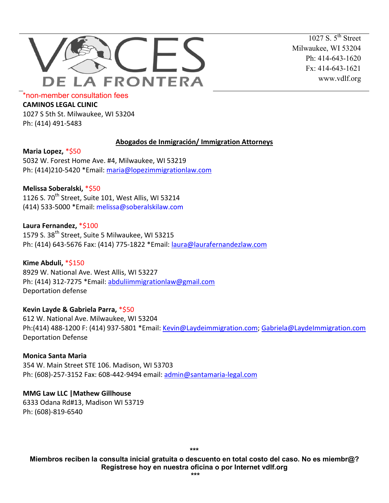

1027 S.  $5^{th}$  Street Milwaukee, WI 53204 Ph: 414-643-1620 Fx: 414-643-1621 www.vdlf.org

\*non-member consultation fees

**CAMINOS LEGAL CLINIC**

1027 S 5th St. Milwaukee, WI 53204 Ph: (414) 491-5483

### **Abogados de Inmigración/ Immigration Attorneys**

**Maria Lopez,** \*\$50 5032 W. Forest Home Ave. #4, Milwaukee, WI 53219 Ph: (414)210-5420 \*Email: [maria@lopezimmigrationlaw.com](mailto:maria@lopezimmigrationlaw.com)

# **Melissa Soberalski,** \*\$50

1126 S. 70<sup>th</sup> Street, Suite 101, West Allis, WI 53214 (414) 533-5000 \*Email: [melissa@soberalskilaw.com](mailto:melissa@soberalskilaw.com)

**Laura Fernandez,** \*\$100 1579 S. 38<sup>th</sup> Street, Suite 5 Milwaukee, WI 53215 Ph: (414) 643-5676 Fax: (414) 775-1822 \*Email: [laura@laurafernandezlaw.com](mailto:laura@laurafernandezlaw.com)

**Kime Abduli,** \*\$150 8929 W. National Ave. West Allis, WI 53227 Ph: (414) 312-7275 \*Email: [abduliimmigrationlaw@gmail.com](mailto:abduliimmigrationlaw@gmail.com) Deportation defense

**Kevin Layde & Gabriela Parra,** \*\$50 612 W. National Ave. Milwaukee, WI 53204 Ph:(414) 488-1200 F: (414) 937-5801 \*Email: [Kevin@Laydeimmigration.com;](mailto:Kevin@Laydeimmigration.com) [Gabriela@LaydeImmigration.com](mailto:Gabriela@LaydeImmigration.com) Deportation Defense

# **Monica Santa Maria**

354 W. Main Street STE 106. Madison, WI 53703 Ph: (608)-257-3152 Fax: 608-442-9494 email: [admin@santamaria-legal.com](mailto:admin@santamaria-legal.com)

### **MMG Law LLC |Mathew Gillhouse**

6333 Odana Rd#13, Madison WI 53719 Ph: (608)-819-6540

**\*\*\*** 

**Miembros reciben la consulta inicial gratuita o descuento en total costo del caso. No es miembr@? Regístrese hoy en nuestra oficina o por Internet vdlf.org**